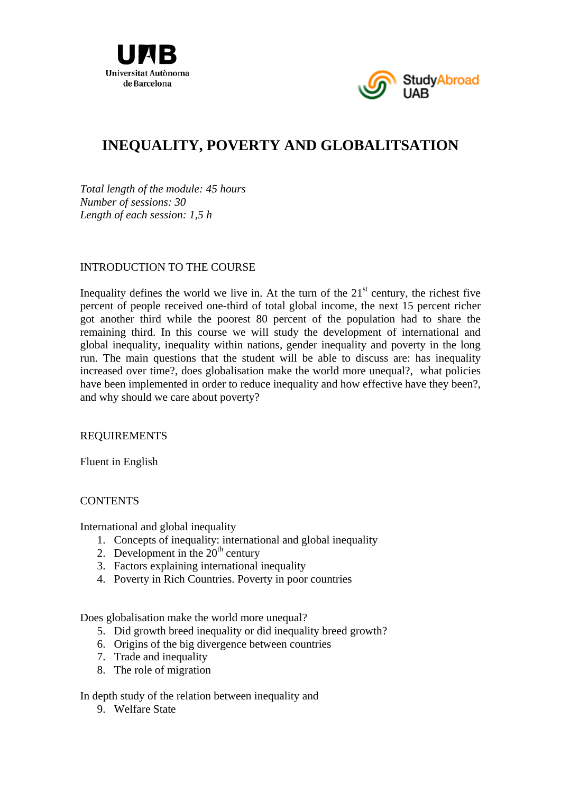



# **INEQUALITY, POVERTY AND GLOBALITSATION**

*Total length of the module: 45 hours Number of sessions: 30 Length of each session: 1,5 h* 

# INTRODUCTION TO THE COURSE

Inequality defines the world we live in. At the turn of the  $21<sup>st</sup>$  century, the richest five percent of people received one-third of total global income, the next 15 percent richer got another third while the poorest 80 percent of the population had to share the remaining third. In this course we will study the development of international and global inequality, inequality within nations, gender inequality and poverty in the long run. The main questions that the student will be able to discuss are: has inequality increased over time?, does globalisation make the world more unequal?, what policies have been implemented in order to reduce inequality and how effective have they been?, and why should we care about poverty?

### REQUIREMENTS

Fluent in English

### **CONTENTS**

International and global inequality

- 1. Concepts of inequality: international and global inequality
- 2. Development in the  $20<sup>th</sup>$  century
- 3. Factors explaining international inequality
- 4. Poverty in Rich Countries. Poverty in poor countries

Does globalisation make the world more unequal?

- 5. Did growth breed inequality or did inequality breed growth?
- 6. Origins of the big divergence between countries
- 7. Trade and inequality
- 8. The role of migration

In depth study of the relation between inequality and

9. Welfare State